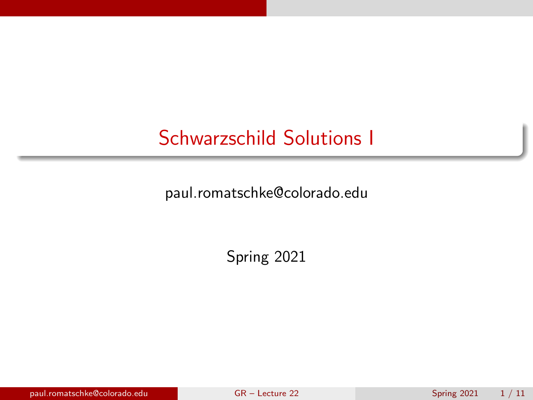### <span id="page-0-0"></span>Schwarzschild Solutions I

paul.romatschke@colorado.edu

Spring 2021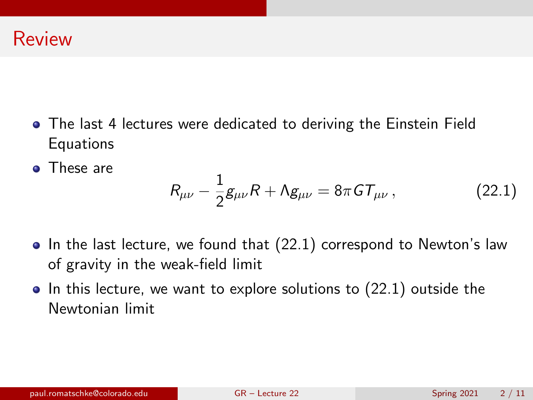- The last 4 lectures were dedicated to deriving the Einstein Field **Equations**
- These are

<span id="page-1-0"></span>
$$
R_{\mu\nu} - \frac{1}{2}g_{\mu\nu}R + \Lambda g_{\mu\nu} = 8\pi G T_{\mu\nu}, \qquad (22.1)
$$

- $\bullet$  In the last lecture, we found that [\(22.1\)](#page-1-0) correspond to Newton's law of gravity in the weak-field limit
- $\bullet$  In this lecture, we want to explore solutions to [\(22.1\)](#page-1-0) outside the Newtonian limit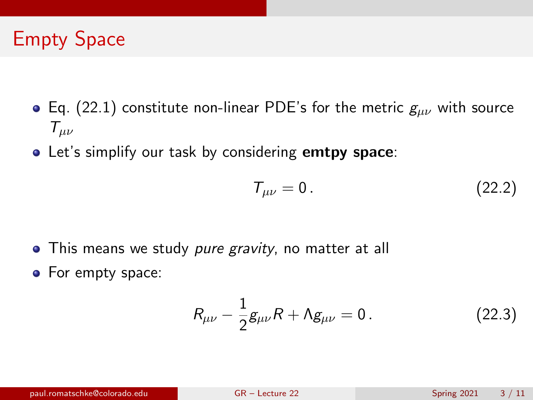# Empty Space

- Eq. [\(22.1\)](#page-1-0) constitute non-linear PDE's for the metric  $g_{\mu\nu}$  with source  $T_{\mu\nu}$
- Let's simplify our task by considering emtpy space:

$$
\mathcal{T}_{\mu\nu}=0.\tag{22.2}
$$

- This means we study pure gravity, no matter at all
- For empty space:

$$
R_{\mu\nu} - \frac{1}{2}g_{\mu\nu}R + \Lambda g_{\mu\nu} = 0.
$$
 (22.3)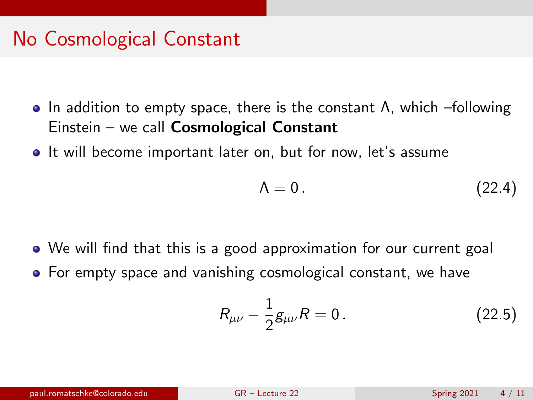## No Cosmological Constant

- In addition to empty space, there is the constant Λ, which –following Einstein – we call Cosmological Constant
- It will become important later on, but for now, let's assume

$$
\Lambda = 0. \tag{22.4}
$$

- We will find that this is a good approximation for our current goal
- For empty space and vanishing cosmological constant, we have

$$
R_{\mu\nu} - \frac{1}{2}g_{\mu\nu}R = 0.
$$
 (22.5)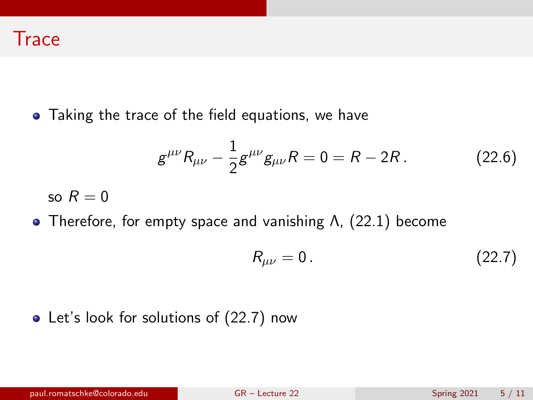• Taking the trace of the field equations, we have

$$
g^{\mu\nu}R_{\mu\nu} - \frac{1}{2}g^{\mu\nu}g_{\mu\nu}R = 0 = R - 2R. \qquad (22.6)
$$

so  $R = 0$ 

Therefore, for empty space and vanishing Λ, [\(22.1\)](#page-1-0) become

<span id="page-4-0"></span>
$$
R_{\mu\nu}=0.\t\t(22.7)
$$

#### • Let's look for solutions of [\(22.7\)](#page-4-0) now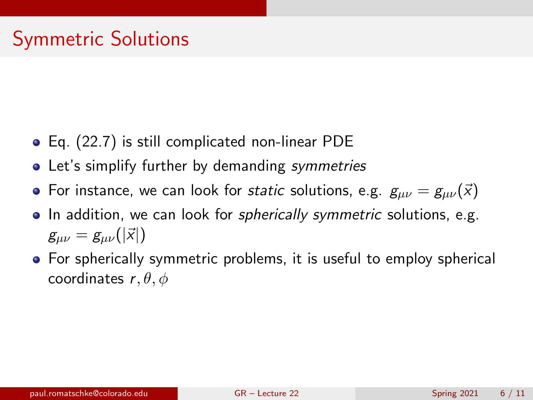- Eq. [\(22.7\)](#page-4-0) is still complicated non-linear PDE
- Let's simplify further by demanding symmetries
- For instance, we can look for static solutions, e.g.  $g_{\mu\nu} = g_{\mu\nu}(\vec{x})$
- In addition, we can look for *spherically symmetric* solutions, e.g.  $g_{\mu\nu} = g_{\mu\nu}(|\vec{x}|)$
- **•** For spherically symmetric problems, it is useful to employ spherical coordinates  $r, \theta, \phi$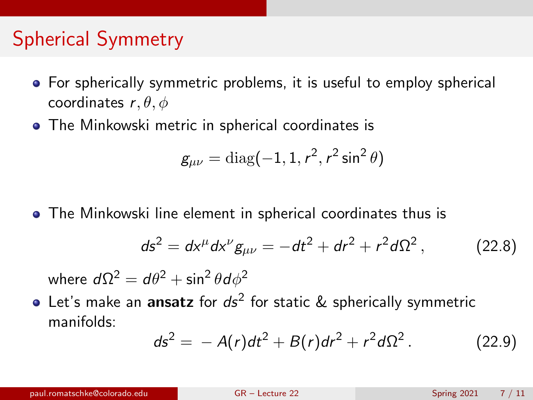- **•** For spherically symmetric problems, it is useful to employ spherical coordinates  $r, \theta, \phi$
- The Minkowski metric in spherical coordinates is

$$
g_{\mu\nu} = \text{diag}(-1, 1, r^2, r^2 \sin^2 \theta)
$$

The Minkowski line element in spherical coordinates thus is

$$
ds^{2} = dx^{\mu} dx^{\nu} g_{\mu\nu} = -dt^{2} + dr^{2} + r^{2} d\Omega^{2}, \qquad (22.8)
$$

where  $d\Omega^2=d\theta^2+\sin^2\theta d\phi^2$ 

Let's make an  ${\sf ansatz}$  for  $d{\sf s}^2$  for static  $\&$  spherically symmetric manifolds:

<span id="page-6-0"></span>
$$
ds^{2} = -A(r)dt^{2} + B(r)dr^{2} + r^{2}d\Omega^{2}. \qquad (22.9)
$$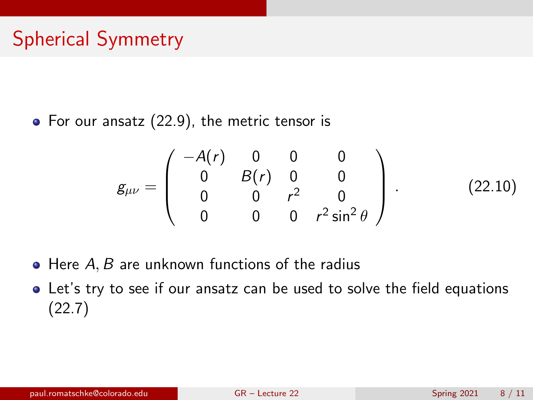• For our ansatz [\(22.9\)](#page-6-0), the metric tensor is

<span id="page-7-0"></span>
$$
g_{\mu\nu} = \left(\begin{array}{cccc} -A(r) & 0 & 0 & 0 \\ 0 & B(r) & 0 & 0 \\ 0 & 0 & r^2 & 0 \\ 0 & 0 & 0 & r^2 \sin^2\theta \end{array}\right).
$$
 (22.10)

- $\bullet$  Here A, B are unknown functions of the radius
- Let's try to see if our ansatz can be used to solve the field equations [\(22.7\)](#page-4-0)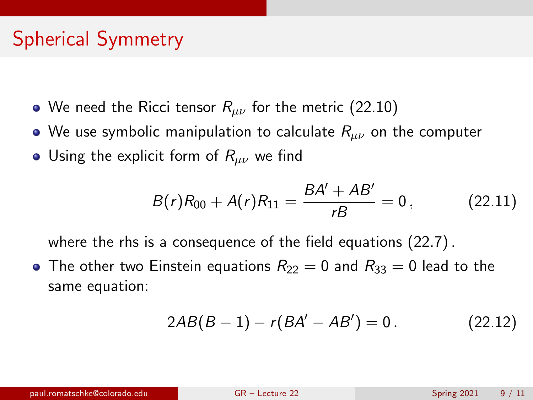- We need the Ricci tensor  $R_{\mu\nu}$  for the metric [\(22.10\)](#page-7-0)
- We use symbolic manipulation to calculate  $R_{\mu\nu}$  on the computer
- Using the explicit form of  $R_{\mu\nu}$  we find

<span id="page-8-0"></span>
$$
B(r)R_{00} + A(r)R_{11} = \frac{BA' + AB'}{rB} = 0, \qquad (22.11)
$$

where the rhs is a consequence of the field equations [\(22.7\)](#page-4-0) .

• The other two Einstein equations  $R_{22} = 0$  and  $R_{33} = 0$  lead to the same equation:

<span id="page-8-1"></span>
$$
2AB(B-1) - r(BA' - AB') = 0.
$$
 (22.12)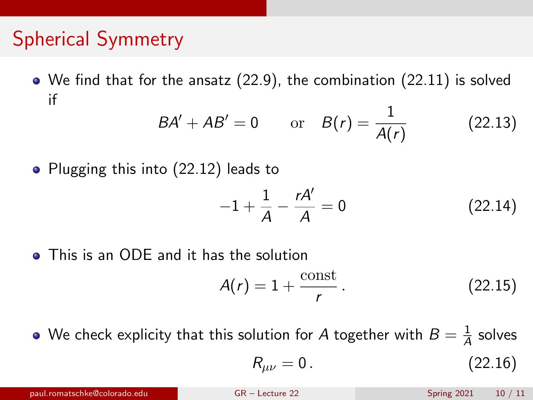We find that for the ansatz [\(22.9\)](#page-6-0), the combination [\(22.11\)](#page-8-0) is solved if

$$
BA' + AB' = 0
$$
 or  $B(r) = \frac{1}{A(r)}$  (22.13)

• Plugging this into [\(22.12\)](#page-8-1) leads to

$$
-1 + \frac{1}{A} - \frac{rA'}{A} = 0
$$
 (22.14)

**•** This is an ODE and it has the solution

$$
A(r) = 1 + \frac{\text{const}}{r} \,. \tag{22.15}
$$

We check explicity that this solution for  $A$  together with  $B=\frac{1}{A}$  $\frac{1}{\overline{A}}$  solves

$$
R_{\mu\nu}=0.\t\t(22.16)
$$